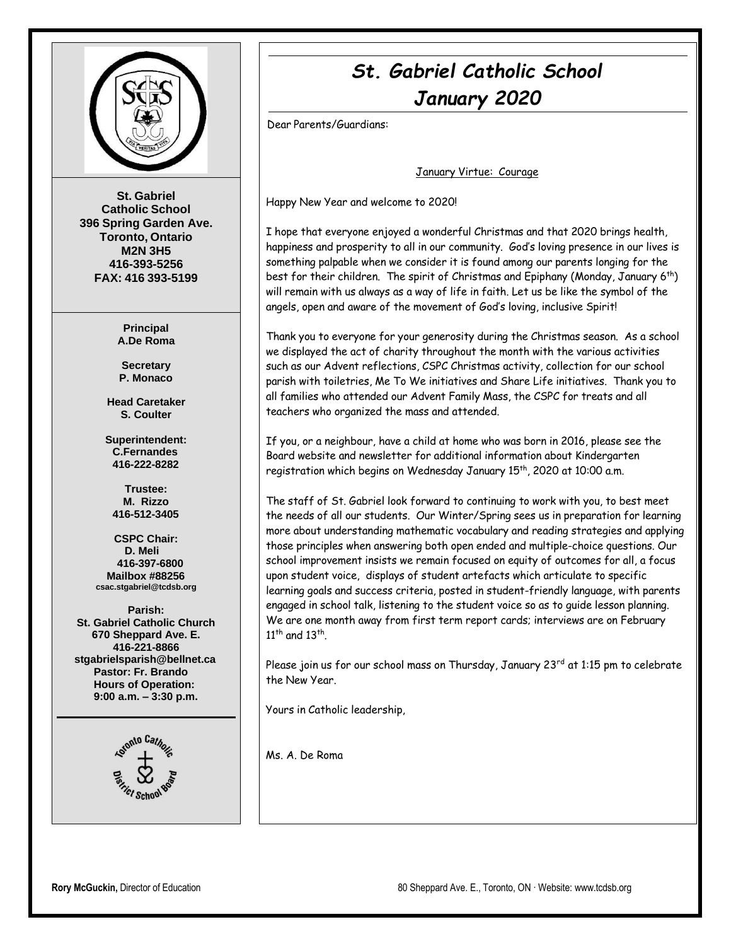

**St. Gabriel Catholic School 396 Spring Garden Ave. Toronto, Ontario M2N 3H5 416-393-5256 FAX: 416 393-5199**

> **Principal A.De Roma**

**Secretary P. Monaco**

**Head Caretaker S. Coulter**

**Superintendent: C.Fernandes 416-222-8282**

**Trustee: M. Rizzo 416-512-3405**

**CSPC Chair: D. Meli 416-397-6800 Mailbox #88256 [csac.stgabriel@tcdsb.org](mailto:csac.stgabriel@tcdsb.org)**

**Parish: St. Gabriel Catholic Church 670 Sheppard Ave. E. 416-221-8866 [stgabrielsparish@bellnet.ca](mailto:stgabrielsparish@bellnet.ca) Pastor: Fr. Brando Hours of Operation: 9:00 a.m. – 3:30 p.m.**



# *St. Gabriel Catholic School January 2020*

Dear Parents/Guardians:

January Virtue: Courage

Happy New Year and welcome to 2020!

I hope that everyone enjoyed a wonderful Christmas and that 2020 brings health, happiness and prosperity to all in our community. God's loving presence in our lives is something palpable when we consider it is found among our parents longing for the best for their children. The spirit of Christmas and Epiphany (Monday, January 6<sup>th</sup>) will remain with us always as a way of life in faith. Let us be like the symbol of the angels, open and aware of the movement of God's loving, inclusive Spirit!

Thank you to everyone for your generosity during the Christmas season. As a school we displayed the act of charity throughout the month with the various activities such as our Advent reflections, CSPC Christmas activity, collection for our school parish with toiletries, Me To We initiatives and Share Life initiatives. Thank you to all families who attended our Advent Family Mass, the CSPC for treats and all teachers who organized the mass and attended.

If you, or a neighbour, have a child at home who was born in 2016, please see the Board website and newsletter for additional information about Kindergarten registration which begins on Wednesday January 15<sup>th</sup>, 2020 at 10:00 a.m.

The staff of St. Gabriel look forward to continuing to work with you, to best meet the needs of all our students. Our Winter/Spring sees us in preparation for learning more about understanding mathematic vocabulary and reading strategies and applying those principles when answering both open ended and multiple-choice questions. Our school improvement insists we remain focused on equity of outcomes for all, a focus upon student voice, displays of student artefacts which articulate to specific learning goals and success criteria, posted in student-friendly language, with parents engaged in school talk, listening to the student voice so as to guide lesson planning. We are one month away from first term report cards; interviews are on February  $11^{\text{th}}$  and  $13^{\text{th}}$ .

Please join us for our school mass on Thursday, January 23<sup>rd</sup> at 1:15 pm to celebrate the New Year.

Yours in Catholic leadership,

Ms. A. De Roma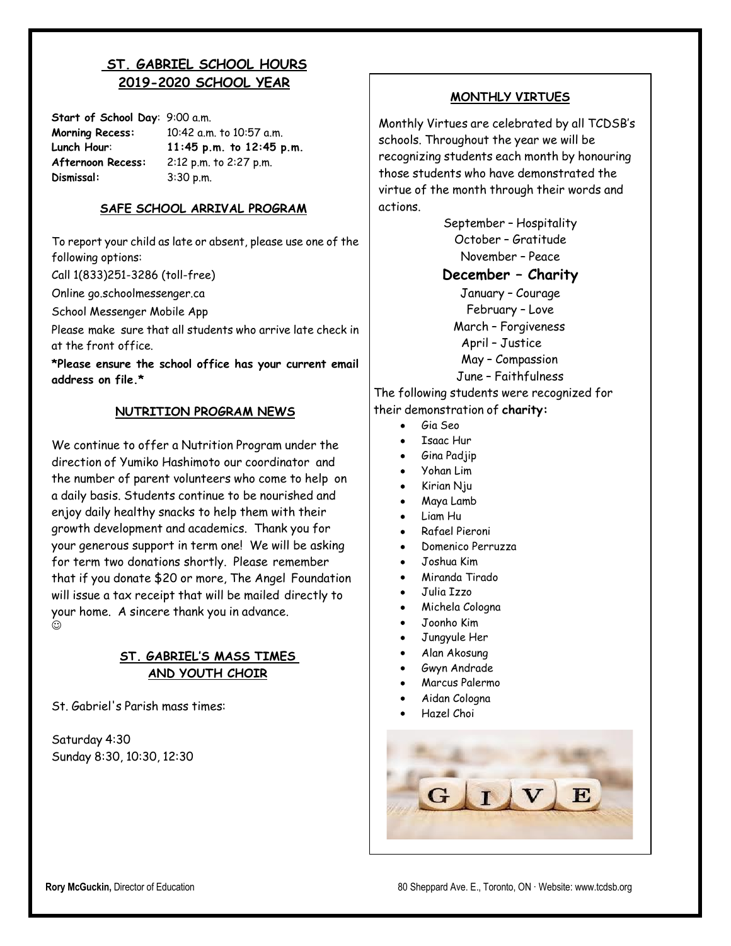# **ST. GABRIEL SCHOOL HOURS 2019-2020 SCHOOL YEAR**

**Start of School Day**: 9:00 a.m. **Morning Recess:** 10:42 a.m. to 10:57 a.m. **Lunch Hour**: **11:45 p.m. to 12:45 p.m. Afternoon Recess:** 2:12 p.m. to 2:27 p.m. **Dismissal:** 3:30 p.m.

#### **SAFE SCHOOL ARRIVAL PROGRAM**

To report your child as late or absent, please use one of the following options:

Call 1(833)251-3286 (toll-free)

Online go.schoolmessenger.ca

School Messenger Mobile App

Please make sure that all students who arrive late check in at the front office.

**\*Please ensure the school office has your current email address on file.\***

#### **NUTRITION PROGRAM NEWS**

We continue to offer a Nutrition Program under the direction of Yumiko Hashimoto our coordinator and the number of parent volunteers who come to help on a daily basis. Students continue to be nourished and enjoy daily healthy snacks to help them with their growth development and academics. Thank you for your generous support in term one! We will be asking for term two donations shortly. Please remember that if you donate \$20 or more, The Angel Foundation will issue a tax receipt that will be mailed directly to your home. A sincere thank you in advance.  $_{\odot}$ 

#### **ST. GABRIEL'S MASS TIMES AND YOUTH CHOIR**

St. Gabriel's Parish mass times:

Saturday 4:30 Sunday 8:30, 10:30, 12:30

#### **MONTHLY VIRTUES**

Monthly Virtues are celebrated by all TCDSB's schools. Throughout the year we will be recognizing students each month by honouring those students who have demonstrated the virtue of the month through their words and actions.

> September – Hospitality October – Gratitude November – Peace

#### **December – Charity**

January – Courage February – Love March – Forgiveness April – Justice May – Compassion

June – Faithfulness

The following students were recognized for their demonstration of **charity:**

- $\bullet$ Gia Seo
- Isaac Hur
- Gina Padjip
- Yohan Lim
- Kirian Nju
- Maya Lamb
- Liam Hu
- Rafael Pieroni  $\bullet$
- Domenico Perruzza
- Joshua Kim
- Miranda Tirado
- Julia Izzo
- $\bullet$ Michela Cologna
- Joonho Kim
- Jungyule Her
- Alan Akosung
- Gwyn Andrade
- Marcus Palermo
	- Aidan Cologna
- Hazel Choi

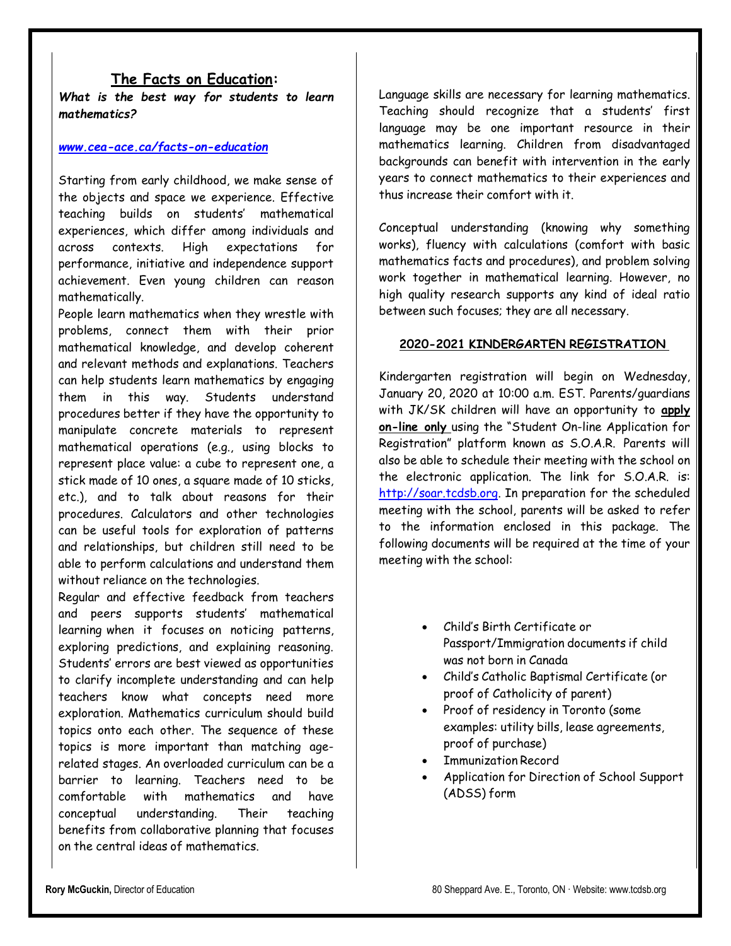#### **The Facts on Education:**

*What is the best way for students to learn mathematics?*

#### *[www.cea-ace.ca/facts-on-education](http://www.cea-ace.ca/facts-on-education)*

Starting from early childhood, we make sense of the objects and space we experience. Effective teaching builds on students' mathematical experiences, which differ among individuals and across contexts. High expectations for performance, initiative and independence support achievement. Even young children can reason mathematically.

People learn mathematics when they wrestle with problems, connect them with their prior mathematical knowledge, and develop coherent and relevant methods and explanations. Teachers can help students learn mathematics by engaging them in this way. Students understand procedures better if they have the opportunity to manipulate concrete materials to represent mathematical operations (e.g., using blocks to represent place value: a cube to represent one, a stick made of 10 ones, a square made of 10 sticks, etc.), and to talk about reasons for their procedures. Calculators and other technologies can be useful tools for exploration of patterns and relationships, but children still need to be able to perform calculations and understand them without reliance on the technologies.

Regular and effective feedback from teachers and peers supports students' mathematical learning when it focuses on noticing patterns, exploring predictions, and explaining reasoning. Students' errors are best viewed as opportunities to clarify incomplete understanding and can help teachers know what concepts need more exploration. Mathematics curriculum should build topics onto each other. The sequence of these topics is more important than matching agerelated stages. An overloaded curriculum can be a barrier to learning. Teachers need to be comfortable with mathematics and have conceptual understanding. Their teaching benefits from collaborative planning that focuses on the central ideas of mathematics.

Language skills are necessary for learning mathematics. Teaching should recognize that a students' first language may be one important resource in their mathematics learning. Children from disadvantaged backgrounds can benefit with intervention in the early years to connect mathematics to their experiences and thus increase their comfort with it.

Conceptual understanding (knowing why something works), fluency with calculations (comfort with basic mathematics facts and procedures), and problem solving work together in mathematical learning. However, no high quality research supports any kind of ideal ratio between such focuses; they are all necessary.

#### **2020-2021 KINDERGARTEN REGISTRATION**

Kindergarten registration will begin on Wednesday, January 20, 2020 at 10:00 a.m. EST. Parents/guardians with JK/SK children will have an opportunity to **apply on-line only** using the "Student On-line Application for Registration" platform known as S.O.A.R. Parents will also be able to schedule their meeting with the school on the electronic application. The link for S.O.A.R. is: [http://soar.tcdsb.org.](http://soar.tcdsb.org/) In preparation for the scheduled meeting with the school, parents will be asked to refer to the information enclosed in this package. The following documents will be required at the time of your meeting with the school:

- Child's Birth Certificate or Passport/Immigration documents if child was not born in Canada
- Child's Catholic Baptismal Certificate (or proof of Catholicity of parent)
- Proof of residency in Toronto (some examples: utility bills, lease agreements, proof of purchase)
- Immunization Record
- Application for Direction of School Support (ADSS) form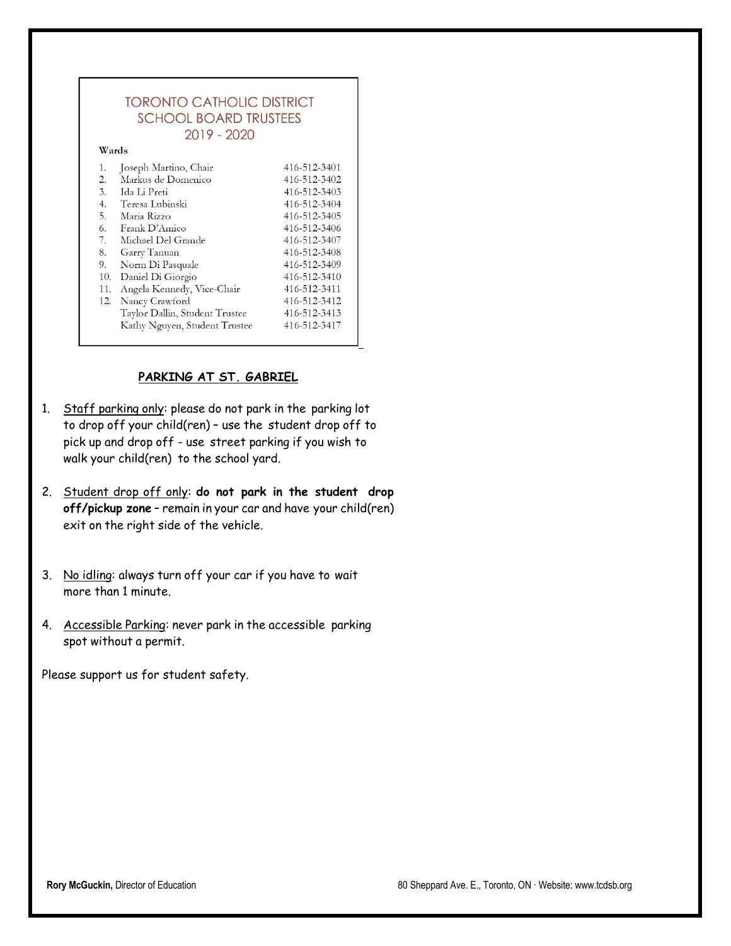|                  | <b>TORONTO CATHOLIC DISTRICT</b> |              |
|------------------|----------------------------------|--------------|
|                  | <b>SCHOOL BOARD TRUSTEES</b>     |              |
|                  | 2019 - 2020                      |              |
| Wards            |                                  |              |
| 1.               | Joseph Martino, Chair            | 416-512-3401 |
| $\overline{2}$ . | Markus de Domenico               | 416-512-3402 |
| 3.               | Ida Li Preti                     | 416-512-3403 |
|                  | 4. Teresa Lubinski               | 416-512-3404 |
|                  | 5. Maria Rizzo                   | 416-512-3405 |
|                  | 6. Frank D'Amico                 | 416-512-3406 |
| 7.               | Michael Del Grande               | 416-512-3407 |
| 8.               | Garry Tanuan                     | 416-512-3408 |
| 9.               | Norm Di Pasquale                 | 416-512-3409 |
| 10.              | Daniel Di Giorgio                | 416-512-3410 |
| 11.              | Angela Kennedy, Vice-Chair       | 416-512-3411 |
| 12.              | Nancy Crawford                   | 416-512-3412 |
|                  | Taylor Dallin, Student Trustee   | 416-512-3413 |
|                  | Kathy Nguyen, Student Trustee    | 416-512-3417 |

#### **PARKING AT ST. GABRIEL**

- 1. Staff parking only: please do not park in the parking lot to drop off your child(ren) – use the student drop off to pick up and drop off - use street parking if you wish to walk your child(ren) to the school yard.
- 2. Student drop off only: **do not park in the student drop off/pickup zone** – remain in your car and have your child(ren) exit on the right side of the vehicle.
- 3. No idling: always turn off your car if you have to wait more than 1 minute.
- 4. Accessible Parking: never park in the accessible parking spot without a permit.

Please support us for student safety.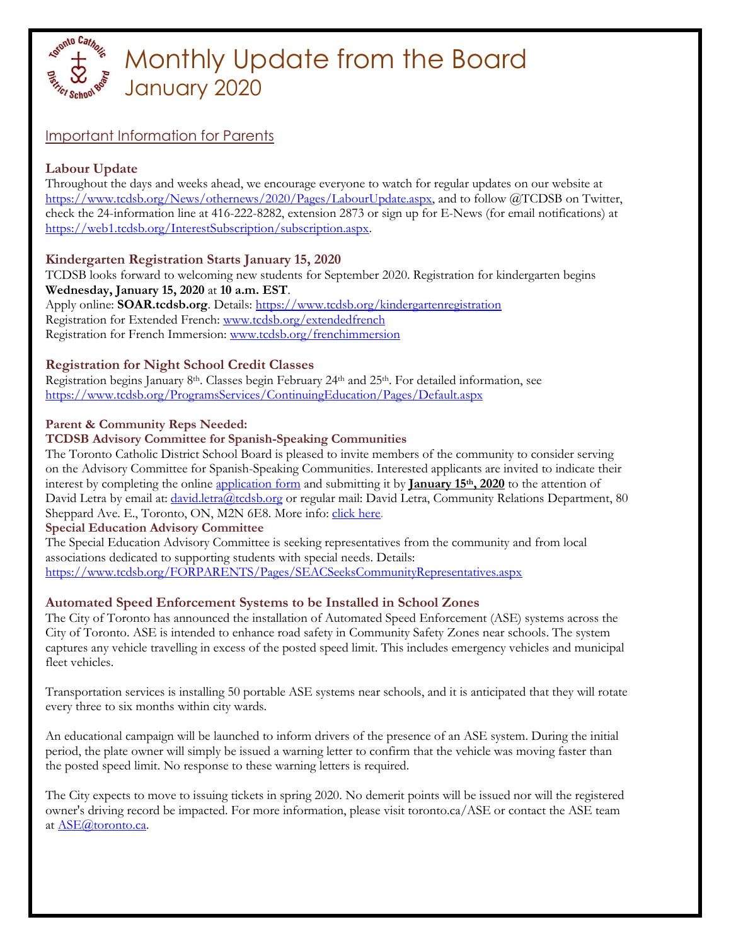

# Monthly Update from the Board January 2020

# Important Information for Parents

# **Labour Update**

Throughout the days and weeks ahead, we encourage everyone to watch for regular updates on our website at [https://www.tcdsb.org/News/othernews/2020/Pages/LabourUpdate.aspx,](https://www.tcdsb.org/News/othernews/2020/Pages/LabourUpdate.aspx) and to follow @TCDSB on Twitter, check the 24-information line at 416-222-8282, extension 2873 or sign up for E-News (for email notifications) at [https://web1.tcdsb.org/InterestSubscription/subscription.aspx.](https://web1.tcdsb.org/InterestSubscription/subscription.aspx)

## **Kindergarten Registration Starts January 15, 2020**

TCDSB looks forward to welcoming new students for September 2020. Registration for kindergarten begins **Wednesday, January 15, 2020** at **10 a.m. EST**. Apply online: **SOAR.tcdsb.org**. Details:<https://www.tcdsb.org/kindergartenregistration> Registration for Extended French: [www.tcdsb.org/extendedfrench](http://www.tcdsb.org/extendedfrench) Registration for French Immersion: [www.tcdsb.org/frenchimmersion](http://www.tcdsb.org/frenchimmersion)

# **Registration for Night School Credit Classes**

Registration begins January 8<sup>th</sup>. Classes begin February 24<sup>th</sup> and 25<sup>th</sup>. For detailed information, see <https://www.tcdsb.org/ProgramsServices/ContinuingEducation/Pages/Default.aspx>

## **Parent & Community Reps Needed:**

## **TCDSB Advisory Committee for Spanish-Speaking Communities**

The Toronto Catholic District School Board is pleased to invite members of the community to consider serving on the Advisory Committee for Spanish-Speaking Communities. Interested applicants are invited to indicate their interest by completing the online [application form](https://www.tcdsb.org/FORPARENTS/Documents/Parent-%20Community%20Member%20Application%20Form-2016-R.pdf) and submitting it by **January 15th, 2020** to the attention of David Letra by email at: *david.letra@tcdsb.org* or regular mail: David Letra, Community Relations Department, 80 Sheppard Ave. E., Toronto, ON, M2N 6E8. More info: *click here.* 

#### **Special Education Advisory Committee**

The Special Education Advisory Committee is seeking representatives from the community and from local associations dedicated to supporting students with special needs. Details: <https://www.tcdsb.org/FORPARENTS/Pages/SEACSeeksCommunityRepresentatives.aspx>

## **Automated Speed Enforcement Systems to be Installed in School Zones**

The City of Toronto has announced the installation of Automated Speed Enforcement (ASE) systems across the City of Toronto. ASE is intended to enhance road safety in Community Safety Zones near schools. The system captures any vehicle travelling in excess of the posted speed limit. This includes emergency vehicles and municipal fleet vehicles.

Transportation services is installing 50 portable ASE systems near schools, and it is anticipated that they will rotate every three to six months within city wards.

An educational campaign will be launched to inform drivers of the presence of an ASE system. During the initial period, the plate owner will simply be issued a warning letter to confirm that the vehicle was moving faster than the posted speed limit. No response to these warning letters is required.

The City expects to move to issuing tickets in spring 2020. No demerit points will be issued nor will the registered owner's driving record be impacted. For more information, please visit toronto.ca/ASE or contact the ASE team at [ASE@toronto.ca.](mailto:ASE@toronto.ca)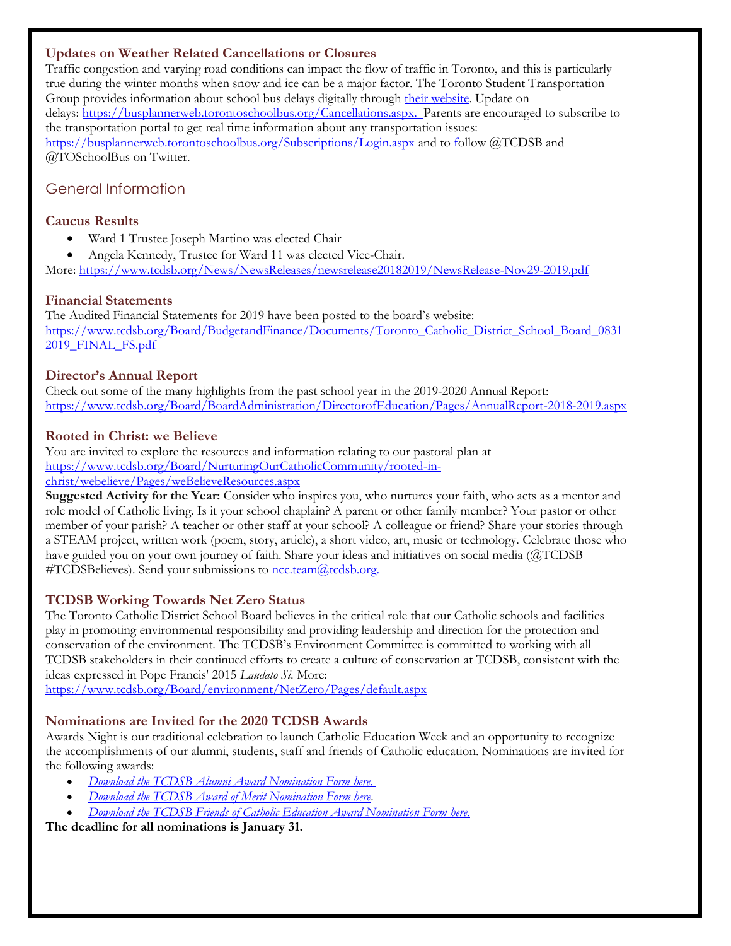### **Updates on Weather Related Cancellations or Closures**

Traffic congestion and varying road conditions can impact the flow of traffic in Toronto, and this is particularly true during the winter months when snow and ice can be a major factor. The Toronto Student Transportation Group provides information about school bus delays digitally throug[h their website.](http://www.torontoschoolbus.org/) Update on delays: [https://busplannerweb.torontoschoolbus.org/Cancellations.aspx.](https://busplannerweb.torontoschoolbus.org/Cancellations.aspx) Parents are encouraged to subscribe to the transportation portal to get real time information about any transportation issues: <https://busplannerweb.torontoschoolbus.org/Subscriptions/Login.aspx> and to follow @TCDSB and @TOSchoolBus on Twitter.

# General Information

#### **Caucus Results**

- Ward 1 Trustee Joseph Martino was elected Chair
- Angela Kennedy, Trustee for Ward 11 was elected Vice-Chair.

More:<https://www.tcdsb.org/News/NewsReleases/newsrelease20182019/NewsRelease-Nov29-2019.pdf>

### **Financial Statements**

The Audited Financial Statements for 2019 have been posted to the board's website: [https://www.tcdsb.org/Board/BudgetandFinance/Documents/Toronto\\_Catholic\\_District\\_School\\_Board\\_0831](https://www.tcdsb.org/Board/BudgetandFinance/Documents/Toronto_Catholic_District_School_Board_08312019_FINAL_FS.pdf) [2019\\_FINAL\\_FS.pdf](https://www.tcdsb.org/Board/BudgetandFinance/Documents/Toronto_Catholic_District_School_Board_08312019_FINAL_FS.pdf)

### **Director's Annual Report**

Check out some of the many highlights from the past school year in the 2019-2020 Annual Report: <https://www.tcdsb.org/Board/BoardAdministration/DirectorofEducation/Pages/AnnualReport-2018-2019.aspx>

### **Rooted in Christ: we Believe**

You are invited to explore the resources and information relating to our pastoral plan at [https://www.tcdsb.org/Board/NurturingOurCatholicCommunity/rooted-in](https://www.tcdsb.org/Board/NurturingOurCatholicCommunity/rooted-in-christ/webelieve/Pages/weBelieveResources.aspx)[christ/webelieve/Pages/weBelieveResources.aspx](https://www.tcdsb.org/Board/NurturingOurCatholicCommunity/rooted-in-christ/webelieve/Pages/weBelieveResources.aspx)

**Suggested Activity for the Year:** Consider who inspires you, who nurtures your faith, who acts as a mentor and role model of Catholic living. Is it your school chaplain? A parent or other family member? Your pastor or other member of your parish? A teacher or other staff at your school? A colleague or friend? Share your stories through a STEAM project, written work (poem, story, article), a short video, art, music or technology. Celebrate those who have guided you on your own journey of faith. Share your ideas and initiatives on social media (@TCDSB #TCDSBelieves). Send your submissions to ncc.team@tcdsb.org.

## **TCDSB Working Towards Net Zero Status**

The Toronto Catholic District School Board believes in the critical role that our Catholic schools and facilities play in promoting environmental responsibility and providing leadership and direction for the protection and conservation of the environment. The TCDSB's Environment Committee is committed to working with all TCDSB stakeholders in their continued efforts to create a culture of conservation at TCDSB, consistent with the ideas expressed in Pope Francis' 2015 *Laudato Si*. More:

<https://www.tcdsb.org/Board/environment/NetZero/Pages/default.aspx>

## **Nominations are Invited for the 2020 TCDSB Awards**

Awards Night is our traditional celebration to launch Catholic Education Week and an opportunity to recognize the accomplishments of our alumni, students, staff and friends of Catholic education. Nominations are invited for the following awards:

- *[Download the TCDSB Alumni Award Nomination Form here.](https://t.e2ma.net/click/pwpzyb/l1yq8og/50nl7p)*
- *[Download the TCDSB Award of Merit Nomination Form here.](https://t.e2ma.net/click/pwpzyb/l1yq8og/ltol7p)*
- *[Download the TCDSB Friends of Catholic Education Award Nomination Form here.](https://t.e2ma.net/click/pwpzyb/l1yq8og/1lpl7p)*

**The deadline for all nominations is January 31.**